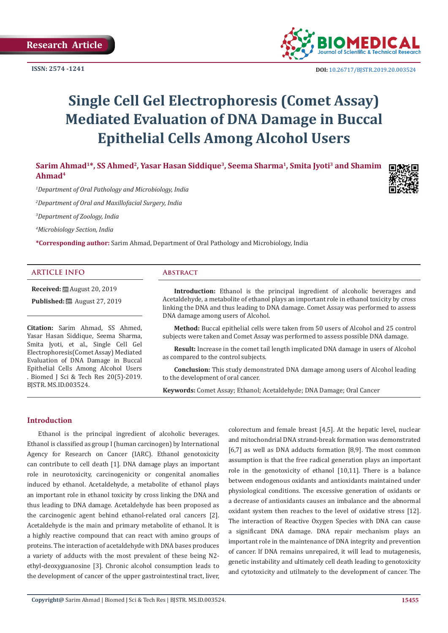

 **DOI:** [10.26717/BJSTR.2019.20.003524](http://dx.doi.org/10.26717/BJSTR.2019.20.003524)

# **Single Cell Gel Electrophoresis (Comet Assay) Mediated Evaluation of DNA Damage in Buccal Epithelial Cells Among Alcohol Users**

Sarim Ahmad<sup>1\*</sup>, SS Ahmed<sup>2</sup>, Yasar Hasan Siddique<sup>3</sup>, Seema Sharma<sup>1</sup>, Smita Jyoti<sup>3</sup> and Shamim **Ahmad4**

*1 Department of Oral Pathology and Microbiology, India*

*2 Department of Oral and Maxillofacial Surgery, India*

*3 Department of Zoology, India*

*4 Microbiology Section, India*

**\*Corresponding author:** Sarim Ahmad, Department of Oral Pathology and Microbiology, India

#### **ARTICLE INFO Abstract**

**Received:** August 20, 2019 **Published:** ■ August 27, 2019

**Citation:** Sarim Ahmad, SS Ahmed, Yasar Hasan Siddique, Seema Sharma, Smita Jyoti, et al., Single Cell Gel Electrophoresis(Comet Assay) Mediated Evaluation of DNA Damage in Buccal Epithelial Cells Among Alcohol Users . Biomed J Sci & Tech Res 20(5)-2019. BJSTR. MS.ID.003524.

**Introduction:** Ethanol is the principal ingredient of alcoholic beverages and Acetaldehyde, a metabolite of ethanol plays an important role in ethanol toxicity by cross linking the DNA and thus leading to DNA damage. Comet Assay was performed to assess DNA damage among users of Alcohol.

**Method:** Buccal epithelial cells were taken from 50 users of Alcohol and 25 control subjects were taken and Comet Assay was performed to assess possible DNA damage.

**Result:** Increase in the comet tail length implicated DNA damage in users of Alcohol as compared to the control subjects.

**Conclusion:** This study demonstrated DNA damage among users of Alcohol leading to the development of oral cancer.

**Keywords:** Comet Assay; Ethanol; Acetaldehyde; DNA Damage; Oral Cancer

### **Introduction**

Ethanol is the principal ingredient of alcoholic beverages. Ethanol is classified as group I (human carcinogen) by International Agency for Research on Cancer (IARC). Ethanol genotoxicity can contribute to cell death [1]. DNA damage plays an important role in neurotoxicity, carcinogenicity or congenital anomalies induced by ethanol. Acetaldehyde, a metabolite of ethanol plays an important role in ethanol toxicity by cross linking the DNA and thus leading to DNA damage. Acetaldehyde has been proposed as the carcinogenic agent behind ethanol-related oral cancers [2]. Acetaldehyde is the main and primary metabolite of ethanol. It is a highly reactive compound that can react with amino groups of proteins. The interaction of acetaldehyde with DNA bases produces a variety of adducts with the most prevalent of these being N2 ethyl-deoxyguanosine [3]. Chronic alcohol consumption leads to the development of cancer of the upper gastrointestinal tract, liver, colorectum and female breast [4,5]. At the hepatic level, nuclear and mitochondrial DNA strand-break formation was demonstrated [6,7] as well as DNA adducts formation [8,9]. The most common assumption is that the free radical generation plays an important role in the genotoxicity of ethanol [10,11]. There is a balance between endogenous oxidants and antioxidants maintained under physiological conditions. The excessive generation of oxidants or a decrease of antioxidants causes an imbalance and the abnormal oxidant system then reaches to the level of oxidative stress [12]. The interaction of Reactive Oxygen Species with DNA can cause a significant DNA damage. DNA repair mechanism plays an important role in the maintenance of DNA integrity and prevention of cancer. If DNA remains unrepaired, it will lead to mutagenesis, genetic instability and ultimately cell death leading to genotoxicity and cytotoxicity and utilmately to the development of cancer. The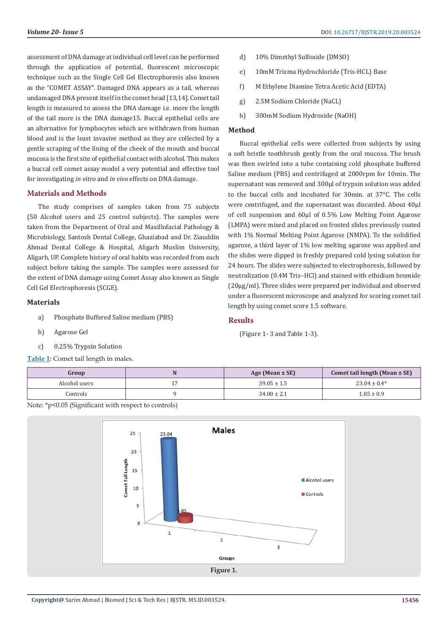assessment of DNA damage at individual cell level can be performed through the application of potential, fluorescent microscopic technique such as the Single Cell Gel Electrophoresis also known as the "COMET ASSAY". Damaged DNA appears as a tail, whereas undamaged DNA present itself in the comet head [13,14]. Comet tail length is measured to assess the DNA damage i.e. more the length of the tail more is the DNA damage15. Buccal epithelial cells are an alternative for lymphocytes which are withdrawn from human blood and is the least invasive method as they are collected by a gentle scraping of the lining of the cheek of the mouth and buccal mucosa is the first site of epithelial contact with alcohol. This makes a buccal cell comet assay model a very potential and effective tool for investigating *in vitro* and *in vivo* effects on DNA damage.

### **Materials and Methods**

The study comprises of samples taken from 75 subjects (50 Alcohol users and 25 control subjects). The samples were taken from the Department of Oral and Maxillofacial Pathology & Microbiology, Santosh Dental College, Ghaziabad and Dr. Ziauddin Ahmad Dental College & Hospital, Aligarh Muslim University, Aligarh, UP. Complete history of oral habits was recorded from each subject before taking the sample. The samples were assessed for the extent of DNA damage using Comet Assay also known as Single Cell Gel Electrophoresis (SCGE).

# **Materials**

- a) Phosphate Buffered Saline medium (PBS)
- b) Agarose Gel
- c) 0.25% Trypsin Solution

**Table 1:** Comet tail length in males.

- d) 10% Dimethyl Sulfoxide (DMSO)
- e) 10mM Trizma Hydrochloride (Tris-HCL) Base
- f) M Ethylene Diamine Tetra Acetic Acid (EDTA)
- g) 2.5M Sodium Chloride (NaCL)
- h) 300mM Sodium Hydroxide (NaOH)

#### **Method**

Buccal epithelial cells were collected from subjects by using a soft bristle toothbrush gently from the oral mucosa. The brush was then swirled into a tube containing cold phosphate buffered Saline medium (PBS) and centrifuged at 2000rpm for 10min. The supernatant was removed and 300µl of trypsin solution was added to the buccal cells and incubated for 30min. at 37°C. The cells were centrifuged, and the supernatant was discarded. About 40µl of cell suspension and 60µl of 0.5% Low Melting Point Agarose (LMPA) were mixed and placed on frosted slides previously coated with 1% Normal Melting Point Agarose (NMPA). To the solidified agarose, a third layer of 1% low melting agarose was applied and the slides were dipped in freshly prepared cold lysing solution for 24 hours. The slides were subjected to electrophoresis, followed by neutralization (0.4M Tris–HCl) and stained with ethidium bromide (20µg/ml). Three slides were prepared per individual and observed under a fluorescent microscope and analyzed for scoring comet tail length by using comet score 1.5 software.

#### **Results**

(Figure 1- 3 and Table 1-3).

| Group         | Age (Mean $\pm$ SE) | Comet tail length (Mean $\pm$ SE) |
|---------------|---------------------|-----------------------------------|
| Alcohol users | $39.05 \pm 1.5$     | $23.04 \pm 0.4*$                  |
| Controls      | $34.00 \pm 2.1$     | $1.85 \pm 0.9$                    |

Note: \*p<0.05 (Significant with respect to controls)

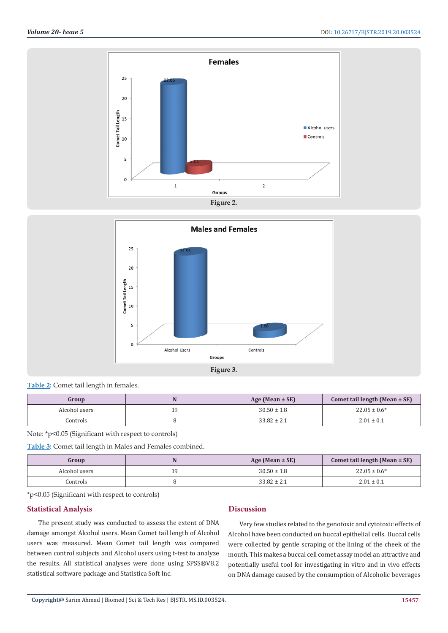



| _____<br>_ _ _ _ _ _<br>. . | ______ |  |
|-----------------------------|--------|--|
| $-$ roup<br>ասա             |        |  |

| Group         | Age (Mean $\pm$ SE) | Comet tail length (Mean $\pm$ SE) |
|---------------|---------------------|-----------------------------------|
| Alcohol users | $30.50 \pm 1.8$     | $22.05 \pm 0.6^*$                 |
| Controls      | $33.82 \pm 2.1$     | $2.01 \pm 0.1$                    |
|               |                     |                                   |

Note: \*p<0.05 (Significant with respect to controls)

**Table 2:** Comet tail length in females

**Table 3:** Comet tail length in Males and Females combined.

| Group         | Age (Mean $\pm$ SE) | Comet tail length (Mean $\pm$ SE) |
|---------------|---------------------|-----------------------------------|
| Alcohol users | $30.50 \pm 1.8$     | $22.05 \pm 0.6^*$                 |
| Controls      | $33.82 \pm 2.1$     | $2.01 \pm 0.1$                    |

\*p<0.05 (Significant with respect to controls)

## **Statistical Analysis**

The present study was conducted to assess the extent of DNA damage amongst Alcohol users. Mean Comet tail length of Alcohol users was measured. Mean Comet tail length was compared between control subjects and Alcohol users using t-test to analyze the results. All statistical analyses were done using SPSS®V8.2 statistical software package and Statistica Soft Inc.

# **Discussion**

Very few studies related to the genotoxic and cytotoxic effects of Alcohol have been conducted on buccal epithelial cells. Buccal cells were collected by gentle scraping of the lining of the cheek of the mouth. This makes a buccal cell comet assay model an attractive and potentially useful tool for investigating in vitro and in vivo effects on DNA damage caused by the consumption of Alcoholic beverages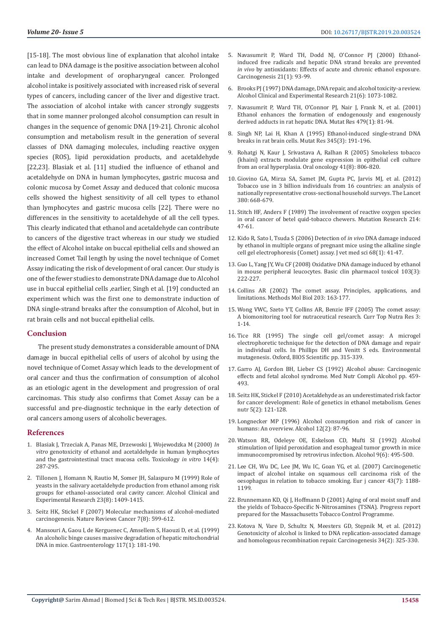[15-18]. The most obvious line of explanation that alcohol intake can lead to DNA damage is the positive association between alcohol intake and development of oropharyngeal cancer. Prolonged alcohol intake is positively associated with increased risk of several types of cancers, including cancer of the liver and digestive tract. The association of alcohol intake with cancer strongly suggests that in some manner prolonged alcohol consumption can result in changes in the sequence of genomic DNA [19-21]. Chronic alcohol consumption and metabolism result in the generation of several classes of DNA damaging molecules, including reactive oxygen species (ROS), lipid peroxidation products, and acetaldehyde [22,23]. Blasiak et al. [11] studied the influence of ethanol and acetaldehyde on DNA in human lymphocytes, gastric mucosa and colonic mucosa by Comet Assay and deduced that colonic mucosa cells showed the highest sensitivity of all cell types to ethanol than lymphocytes and gastric mucosa cells [22]. There were no differences in the sensitivity to acetaldehyde of all the cell types. This clearly indicated that ethanol and acetaldehyde can contribute to cancers of the digestive tract whereas in our study we studied the effect of Alcohol intake on buccal epithelial cells and showed an increased Comet Tail length by using the novel technique of Comet Assay indicating the risk of development of oral cancer. Our study is one of the fewer studies to demonstrate DNA damage due to Alcohol use in buccal epithelial cells ,earlier, Singh et al. [19] conducted an experiment which was the first one to demonstrate induction of DNA single-strand breaks after the consumption of Alcohol, but in rat brain cells and not buccal epithelial cells.

#### **Conclusion**

The present study demonstrates a considerable amount of DNA damage in buccal epithelial cells of users of alcohol by using the novel technique of Comet Assay which leads to the development of oral cancer and thus the confirmation of consumption of alcohol as an etiologic agent in the development and progression of oral carcinomas. This study also confirms that Comet Assay can be a successful and pre-diagnostic technique in the early detection of oral cancers among users of alcoholic beverages.

#### **References**

- 1. [Blasiak J, Trzeciak A, Panas ME, Drzewoski J, Wojewodzka M \(2000\)](https://www.ncbi.nlm.nih.gov/pubmed/10906435) *In vitro* [genotoxicity of ethanol and acetaldehyde in human lymphocytes](https://www.ncbi.nlm.nih.gov/pubmed/10906435)  [and the gastrointestinal tract mucosa cells. Toxicology](https://www.ncbi.nlm.nih.gov/pubmed/10906435) *in vitro* 14(4): [287-295.](https://www.ncbi.nlm.nih.gov/pubmed/10906435)
- 2. [Tillonen J, Homann N, Rautio M, Somer JH, Salaspuro M \(1999\) Role of](https://www.ncbi.nlm.nih.gov/pubmed/10470985)  [yeasts in the salivary acetaldehyde production from ethanol among risk](https://www.ncbi.nlm.nih.gov/pubmed/10470985)  [groups for ethanol-associated oral cavity cancer. Alcohol Clinical and](https://www.ncbi.nlm.nih.gov/pubmed/10470985)  [Experimental Research 23\(8\): 1409-1415.](https://www.ncbi.nlm.nih.gov/pubmed/10470985)
- 3. [Seitz HK, Stickel F \(2007\) Molecular mechanisms of alcohol-mediated](https://www.ncbi.nlm.nih.gov/pubmed/17646865)  [carcinogenesis. Nature Reviews Cancer 7\(8\): 599-612.](https://www.ncbi.nlm.nih.gov/pubmed/17646865)
- 4. [Mansouri A, Gaou I, de Kerguenec C, Amsellem S, Haouzi D, et al. \(1999\)](https://www.ncbi.nlm.nih.gov/pubmed/10381926)  [An alcoholic binge causes massive degradation of hepatic mitochondrial](https://www.ncbi.nlm.nih.gov/pubmed/10381926)  [DNA in mice. Gastroenterology 117\(1\): 181-190.](https://www.ncbi.nlm.nih.gov/pubmed/10381926)
- 5. [Navasumrit P, Ward TH, Dodd NJ, O'Connor PJ \(2000\) Ethanol](https://www.ncbi.nlm.nih.gov/pubmed/10607739)[induced free radicals and hepatic DNA strand breaks are prevented](https://www.ncbi.nlm.nih.gov/pubmed/10607739) *in vivo* [by antioxidants: Effects of acute and chronic ethanol exposure.](https://www.ncbi.nlm.nih.gov/pubmed/10607739) [Carcinogenesis 21\(1\): 93-99.](https://www.ncbi.nlm.nih.gov/pubmed/10607739)
- 6. [Brooks PJ \(1997\) DNA damage, DNA repair, and alcohol toxicity-a review.](https://www.ncbi.nlm.nih.gov/pubmed/9309320) [Alcohol Clinical and Experimental Research 21\(6\): 1073-1082.](https://www.ncbi.nlm.nih.gov/pubmed/9309320)
- 7. [Navasumrit P, Ward TH, O'Connor PJ, Nair J, Frank N, et al. \(2001\)](https://www.ncbi.nlm.nih.gov/pubmed/11470483) [Ethanol enhances the formation of endogenously and exogenously](https://www.ncbi.nlm.nih.gov/pubmed/11470483) [derived adducts in rat hepatic DNA. Mutat Res 479\(1\): 81-94.](https://www.ncbi.nlm.nih.gov/pubmed/11470483)
- 8. [Singh NP, Lai H, Khan A \(1995\) Ethanol-induced single-strand DNA](https://www.ncbi.nlm.nih.gov/pubmed/8552140) [breaks in rat brain cells. Mutat Res 345\(3\): 191-196.](https://www.ncbi.nlm.nih.gov/pubmed/8552140)
- 9. [Rohatgi N, Kaur J, Srivastava A, Ralhan R \(2005\) Smokeless tobacco](https://www.ncbi.nlm.nih.gov/pubmed/15979382) [\(khaini\) extracts modulate gene expression in epithelial cell culture](https://www.ncbi.nlm.nih.gov/pubmed/15979382) [from an oral hyperplasia. Oral oncology 41\(8\): 806-820.](https://www.ncbi.nlm.nih.gov/pubmed/15979382)
- 10. [Giovino GA, Mirza SA, Samet JM, Gupta PC, Jarvis MJ, et al. \(2012\)](https://www.ncbi.nlm.nih.gov/pubmed/22901888) [Tobacco use in 3 billion individuals from 16 countries: an analysis of](https://www.ncbi.nlm.nih.gov/pubmed/22901888) [nationally representative cross-sectional household surveys. The Lancet](https://www.ncbi.nlm.nih.gov/pubmed/22901888) [380: 668-679.](https://www.ncbi.nlm.nih.gov/pubmed/22901888)
- 11. [Stitch HF, Anders F \(1989\) The involvement of reactive oxygen species](https://www.ncbi.nlm.nih.gov/pubmed/2671701) [in oral cancer of betel quid-tobacco chewers. Mutation Research 214:](https://www.ncbi.nlm.nih.gov/pubmed/2671701) [47-61.](https://www.ncbi.nlm.nih.gov/pubmed/2671701)
- 12. [Kido R, Sato I, Tsuda S \(2006\) Detection of](https://www.ncbi.nlm.nih.gov/pubmed/16462115) *in vivo* DNA damage induced [by ethanol in multiple organs of pregnant mice using the alkaline single](https://www.ncbi.nlm.nih.gov/pubmed/16462115) [cell gel electrophoresis \(Comet\) assay. J vet med sci 68\(1\): 41-47.](https://www.ncbi.nlm.nih.gov/pubmed/16462115)
- 13. [Guo L, Yang JY, Wu CF \(2008\) Oxidative DNA damage induced by ethanol](https://www.ncbi.nlm.nih.gov/pubmed/18684230) [in mouse peripheral leucocytes. Basic clin pharmacol toxicol 103\(3\):](https://www.ncbi.nlm.nih.gov/pubmed/18684230) [222-227.](https://www.ncbi.nlm.nih.gov/pubmed/18684230)
- 14. [Collins AR \(2002\) The comet assay. Principles, applications, and](https://www.ncbi.nlm.nih.gov/pubmed/12073440) [limitations. Methods Mol Biol 203: 163-177.](https://www.ncbi.nlm.nih.gov/pubmed/12073440)
- 15. [Wong VWC, Szeto YT, Collins AR, Benzie IFF \(2005\) The comet assay:](http://ira.lib.polyu.edu.hk/handle/10397/34543) [A biomonitoring tool for nutraceutical research. Curr Top Nutra Res 3:](http://ira.lib.polyu.edu.hk/handle/10397/34543) [1-14.](http://ira.lib.polyu.edu.hk/handle/10397/34543)
- 16. [Tice RR \(1995\) The single cell gel/comet assay: A microgel](https://books.google.co.in/books?id=s4UCAAAACAAJ&dq=Environmental+mutagenesis&hl=en&sa=X&ved=0ahUKEwjnv7nZtKDkAhVTXSsKHVn7B6EQ6AEIKDAA) [electrophoretic technique for the detection of DNA damage and repair](https://books.google.co.in/books?id=s4UCAAAACAAJ&dq=Environmental+mutagenesis&hl=en&sa=X&ved=0ahUKEwjnv7nZtKDkAhVTXSsKHVn7B6EQ6AEIKDAA) [in individual cells. In Phillips DH and Venitt S eds. Environmental](https://books.google.co.in/books?id=s4UCAAAACAAJ&dq=Environmental+mutagenesis&hl=en&sa=X&ved=0ahUKEwjnv7nZtKDkAhVTXSsKHVn7B6EQ6AEIKDAA) [mutagenesis. Oxford, BIOS Scientific pp. 315-339.](https://books.google.co.in/books?id=s4UCAAAACAAJ&dq=Environmental+mutagenesis&hl=en&sa=X&ved=0ahUKEwjnv7nZtKDkAhVTXSsKHVn7B6EQ6AEIKDAA)
- 17. [Garro AJ, Gordon BH, Lieber CS \(1992\) Alcohol abuse: Carcinogenic](https://link.springer.com/chapter/10.1007/978-1-4615-3320-7_15) [effects and fetal alcohol syndrome. Med Nutr Compli Alcohol pp. 459-](https://link.springer.com/chapter/10.1007/978-1-4615-3320-7_15) [493.](https://link.springer.com/chapter/10.1007/978-1-4615-3320-7_15)
- 18. [Seitz HK, Stickel F \(2010\) Acetaldehyde as an underestimated risk factor](https://www.ncbi.nlm.nih.gov/pubmed/19847467) [for cancer development: Role of genetics in ethanol metabolism. Genes](https://www.ncbi.nlm.nih.gov/pubmed/19847467) [nutr 5\(2\): 121-128.](https://www.ncbi.nlm.nih.gov/pubmed/19847467)
- 19. [Longnecker MP \(1996\) Alcohol consumption and risk of cancer in](https://www.sciencedirect.com/science/article/pii/0741832994000883) [humans: An overview. Alcohol 12\(2\): 87-96.](https://www.sciencedirect.com/science/article/pii/0741832994000883)
- 20. [Watson RR, Odeleye OE, Eskelson CD, Mufti SI \(1992\) Alcohol](https://www.ncbi.nlm.nih.gov/pubmed/1335272) [stimulation of lipid peroxidation and esophageal tumor growth in mice](https://www.ncbi.nlm.nih.gov/pubmed/1335272) [immunocompromised by retrovirus infection. Alcohol 9\(6\): 495-500.](https://www.ncbi.nlm.nih.gov/pubmed/1335272)
- 21. [Lee CH, Wu DC, Lee JM, Wu IC, Goan YG, et al. \(2007\) Carcinogenetic](https://www.ncbi.nlm.nih.gov/pubmed/17383866) [impact of alcohol intake on squamous cell carcinoma risk of the](https://www.ncbi.nlm.nih.gov/pubmed/17383866) [oesophagus in relation to tobacco smoking. Eur j cancer 43\(7\): 1188-](https://www.ncbi.nlm.nih.gov/pubmed/17383866) [1199.](https://www.ncbi.nlm.nih.gov/pubmed/17383866)
- 22. [Brunnemann KD, Qi J, Hoffmann D \(2001\) Aging of oral moist snuff and](https://www.amazon.com/Aging-moist-yields-tobacco-specific-N-nitrosamines/dp/B0006RTTJA) [the yields of Tobacco-Specific N-Nitrosamines \(TSNA\). Progress report](https://www.amazon.com/Aging-moist-yields-tobacco-specific-N-nitrosamines/dp/B0006RTTJA) [prepared for the Massachusetts Tobacco Control Programme.](https://www.amazon.com/Aging-moist-yields-tobacco-specific-N-nitrosamines/dp/B0006RTTJA)
- 23. [Kotova N, Vare D, Schultz N, Meesters GD, Stępnik M, et al. \(2012\)](https://www.ncbi.nlm.nih.gov/pubmed/23125219) [Genotoxicity of alcohol is linked to DNA replication-associated damage](https://www.ncbi.nlm.nih.gov/pubmed/23125219) [and homologous recombination repair. Carcinogenesis 34\(2\): 325-330.](https://www.ncbi.nlm.nih.gov/pubmed/23125219)